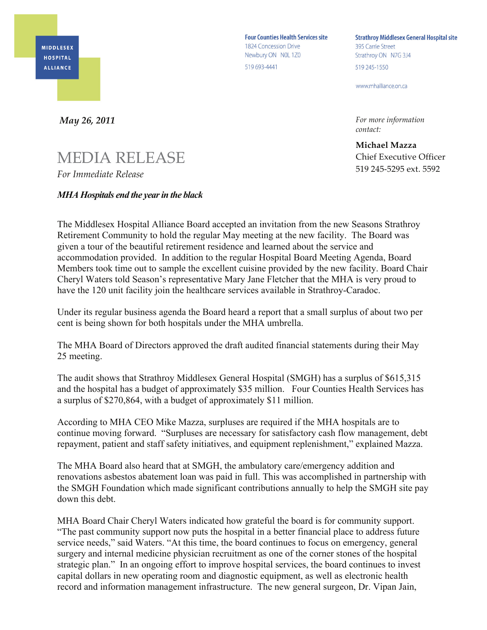**MIDDLESEX HOSPITAL ALLIANCE** 

**Four Counties Health Services site** 1824 Concession Drive Newbury ON NOL 1Z0 519 693-4441

**Strathroy Middlesex General Hospital site** 395 Carrie Street Strathroy ON N7G 3J4 519 245-1550

www.mhalliance.on.ca

*For more information contact:*

**Michael Mazza** Chief Executive Officer 519 245-5295 ext. 5592

*May 26, 2011*

## MEDIA RELEASE *For Immediate Release*

## *MHA Hospitals end the year in the black*

The Middlesex Hospital Alliance Board accepted an invitation from the new Seasons Strathroy Retirement Community to hold the regular May meeting at the new facility. The Board was given a tour of the beautiful retirement residence and learned about the service and accommodation provided. In addition to the regular Hospital Board Meeting Agenda, Board Members took time out to sample the excellent cuisine provided by the new facility. Board Chair Cheryl Waters told Season's representative Mary Jane Fletcher that the MHA is very proud to have the 120 unit facility join the healthcare services available in Strathroy-Caradoc.

Under its regular business agenda the Board heard a report that a small surplus of about two per cent is being shown for both hospitals under the MHA umbrella.

The MHA Board of Directors approved the draft audited financial statements during their May 25 meeting.

The audit shows that Strathroy Middlesex General Hospital (SMGH) has a surplus of \$615,315 and the hospital has a budget of approximately \$35 million. Four Counties Health Services has a surplus of \$270,864, with a budget of approximately \$11 million.

According to MHA CEO Mike Mazza, surpluses are required if the MHA hospitals are to continue moving forward. "Surpluses are necessary for satisfactory cash flow management, debt repayment, patient and staff safety initiatives, and equipment replenishment," explained Mazza.

The MHA Board also heard that at SMGH, the ambulatory care/emergency addition and renovations asbestos abatement loan was paid in full. This was accomplished in partnership with the SMGH Foundation which made significant contributions annually to help the SMGH site pay down this debt.

MHA Board Chair Cheryl Waters indicated how grateful the board is for community support. "The past community support now puts the hospital in a better financial place to address future service needs," said Waters. "At this time, the board continues to focus on emergency, general surgery and internal medicine physician recruitment as one of the corner stones of the hospital strategic plan." In an ongoing effort to improve hospital services, the board continues to invest capital dollars in new operating room and diagnostic equipment, as well as electronic health record and information management infrastructure. The new general surgeon, Dr. Vipan Jain,